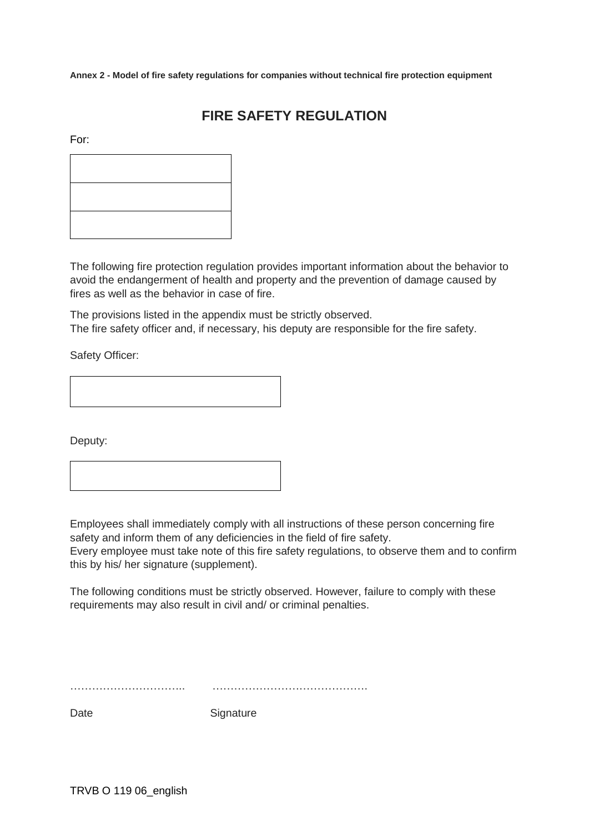**Annex 2 - Model of fire safety regulations for companies without technical fire protection equipment**

# **FIRE SAFETY REGULATION**

For:

The following fire protection regulation provides important information about the behavior to avoid the endangerment of health and property and the prevention of damage caused by fires as well as the behavior in case of fire.

The provisions listed in the appendix must be strictly observed. The fire safety officer and, if necessary, his deputy are responsible for the fire safety.

Safety Officer:

Deputy:

Employees shall immediately comply with all instructions of these person concerning fire safety and inform them of any deficiencies in the field of fire safety.

Every employee must take note of this fire safety regulations, to observe them and to confirm this by his/ her signature (supplement).

The following conditions must be strictly observed. However, failure to comply with these requirements may also result in civil and/ or criminal penalties.

………………………….. …………………………………….

Date Signature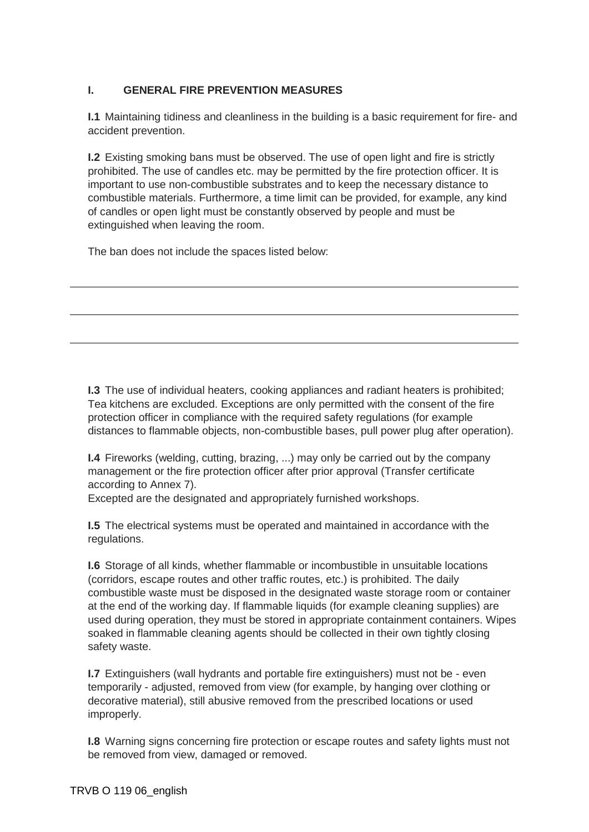## **I. GENERAL FIRE PREVENTION MEASURES**

**I.1** Maintaining tidiness and cleanliness in the building is a basic requirement for fire- and accident prevention.

**I.2** Existing smoking bans must be observed. The use of open light and fire is strictly prohibited. The use of candles etc. may be permitted by the fire protection officer. It is important to use non-combustible substrates and to keep the necessary distance to combustible materials. Furthermore, a time limit can be provided, for example, any kind of candles or open light must be constantly observed by people and must be extinguished when leaving the room.

The ban does not include the spaces listed below:

**I.3** The use of individual heaters, cooking appliances and radiant heaters is prohibited; Tea kitchens are excluded. Exceptions are only permitted with the consent of the fire protection officer in compliance with the required safety regulations (for example distances to flammable objects, non-combustible bases, pull power plug after operation).

**I.4** Fireworks (welding, cutting, brazing, ...) may only be carried out by the company management or the fire protection officer after prior approval (Transfer certificate according to Annex 7).

Excepted are the designated and appropriately furnished workshops.

**I.5** The electrical systems must be operated and maintained in accordance with the regulations.

**I.6** Storage of all kinds, whether flammable or incombustible in unsuitable locations (corridors, escape routes and other traffic routes, etc.) is prohibited. The daily combustible waste must be disposed in the designated waste storage room or container at the end of the working day. If flammable liquids (for example cleaning supplies) are used during operation, they must be stored in appropriate containment containers. Wipes soaked in flammable cleaning agents should be collected in their own tightly closing safety waste.

**I.7** Extinguishers (wall hydrants and portable fire extinguishers) must not be - even temporarily - adjusted, removed from view (for example, by hanging over clothing or decorative material), still abusive removed from the prescribed locations or used improperly.

**I.8** Warning signs concerning fire protection or escape routes and safety lights must not be removed from view, damaged or removed.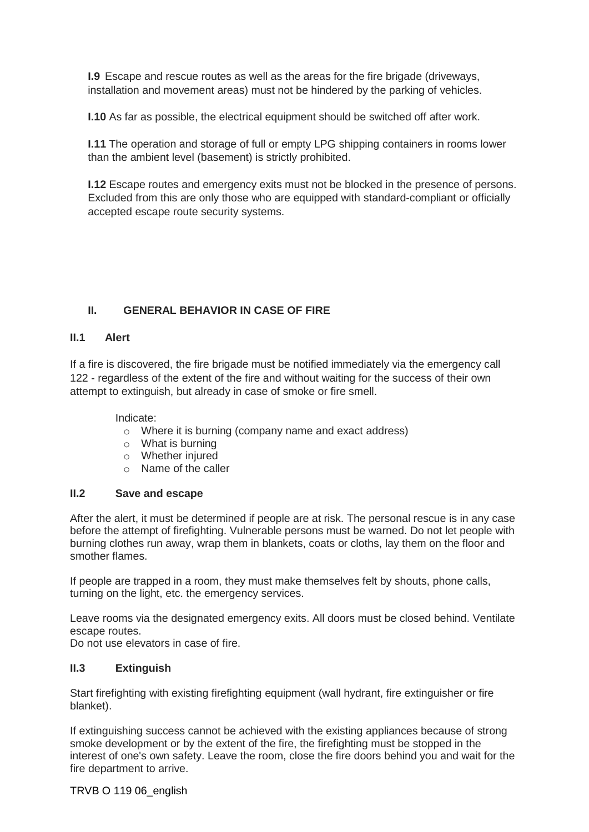**I.9** Escape and rescue routes as well as the areas for the fire brigade (driveways, installation and movement areas) must not be hindered by the parking of vehicles.

**I.10** As far as possible, the electrical equipment should be switched off after work.

**I.11** The operation and storage of full or empty LPG shipping containers in rooms lower than the ambient level (basement) is strictly prohibited.

**I.12** Escape routes and emergency exits must not be blocked in the presence of persons. Excluded from this are only those who are equipped with standard-compliant or officially accepted escape route security systems.

## **II. GENERAL BEHAVIOR IN CASE OF FIRE**

#### **II.1 Alert**

If a fire is discovered, the fire brigade must be notified immediately via the emergency call 122 - regardless of the extent of the fire and without waiting for the success of their own attempt to extinguish, but already in case of smoke or fire smell.

#### Indicate:

- o Where it is burning (company name and exact address)
- o What is burning
- o Whether injured
- o Name of the caller

#### **II.2 Save and escape**

After the alert, it must be determined if people are at risk. The personal rescue is in any case before the attempt of firefighting. Vulnerable persons must be warned. Do not let people with burning clothes run away, wrap them in blankets, coats or cloths, lay them on the floor and smother flames.

If people are trapped in a room, they must make themselves felt by shouts, phone calls, turning on the light, etc. the emergency services.

Leave rooms via the designated emergency exits. All doors must be closed behind. Ventilate escape routes.

Do not use elevators in case of fire.

#### **II.3 Extinguish**

Start firefighting with existing firefighting equipment (wall hydrant, fire extinguisher or fire blanket).

If extinguishing success cannot be achieved with the existing appliances because of strong smoke development or by the extent of the fire, the firefighting must be stopped in the interest of one's own safety. Leave the room, close the fire doors behind you and wait for the fire department to arrive.

#### TRVB O 119 06\_english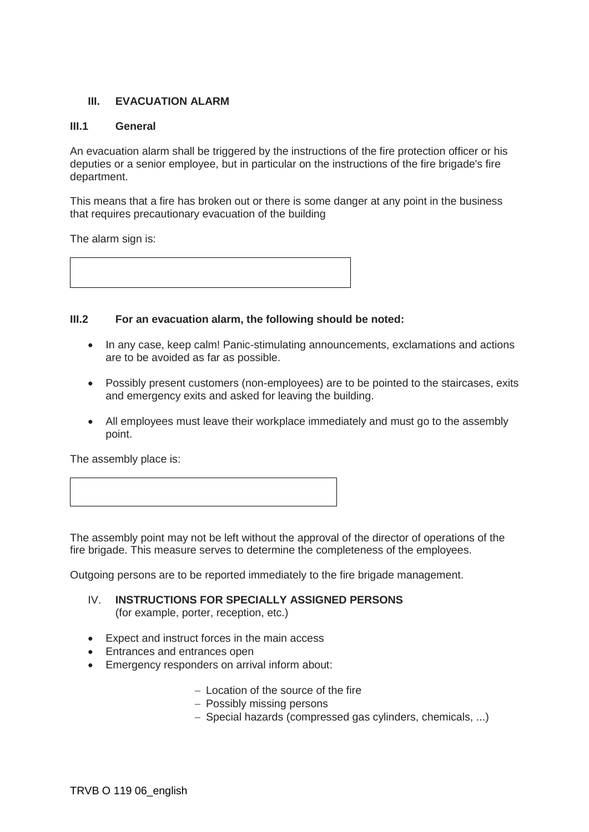#### **III. EVACUATION ALARM**

#### **III.1 General**

An evacuation alarm shall be triggered by the instructions of the fire protection officer or his deputies or a senior employee, but in particular on the instructions of the fire brigade's fire department.

This means that a fire has broken out or there is some danger at any point in the business that requires precautionary evacuation of the building

The alarm sign is:



#### **III.2 For an evacuation alarm, the following should be noted:**

- In any case, keep calm! Panic-stimulating announcements, exclamations and actions are to be avoided as far as possible.
- Possibly present customers (non-employees) are to be pointed to the staircases, exits and emergency exits and asked for leaving the building.
- All employees must leave their workplace immediately and must go to the assembly point.

The assembly place is:

The assembly point may not be left without the approval of the director of operations of the fire brigade. This measure serves to determine the completeness of the employees.

Outgoing persons are to be reported immediately to the fire brigade management.

- IV. **INSTRUCTIONS FOR SPECIALLY ASSIGNED PERSONS**  (for example, porter, reception, etc.)
- Expect and instruct forces in the main access
- Entrances and entrances open
- Emergency responders on arrival inform about:
	- − Location of the source of the fire
	- − Possibly missing persons
	- − Special hazards (compressed gas cylinders, chemicals, ...)